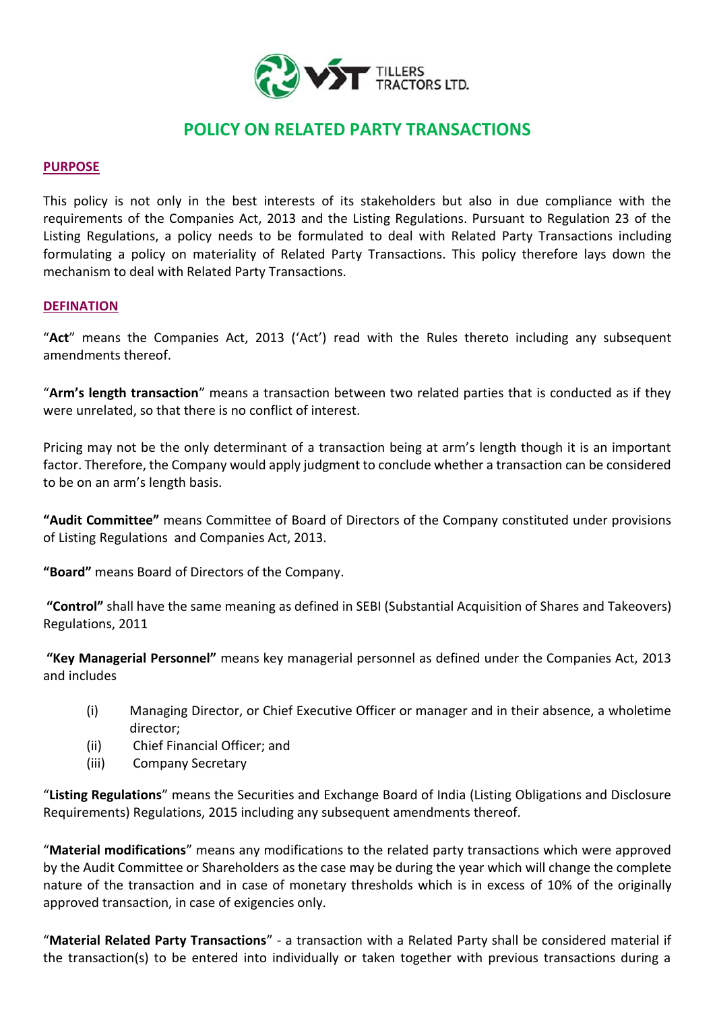

# **POLICY ON RELATED PARTY TRANSACTIONS**

### **PURPOSE**

This policy is not only in the best interests of its stakeholders but also in due compliance with the requirements of the Companies Act, 2013 and the Listing Regulations. Pursuant to Regulation 23 of the Listing Regulations, a policy needs to be formulated to deal with Related Party Transactions including formulating a policy on materiality of Related Party Transactions. This policy therefore lays down the mechanism to deal with Related Party Transactions.

#### **DEFINATION**

"**Act**" means the Companies Act, 2013 ('Act') read with the Rules thereto including any subsequent amendments thereof.

"**Arm's length transaction**" means a transaction between two related parties that is conducted as if they were unrelated, so that there is no conflict of interest.

Pricing may not be the only determinant of a transaction being at arm's length though it is an important factor. Therefore, the Company would apply judgment to conclude whether a transaction can be considered to be on an arm's length basis.

**"Audit Committee"** means Committee of Board of Directors of the Company constituted under provisions of Listing Regulations and Companies Act, 2013.

**"Board"** means Board of Directors of the Company.

**"Control"** shall have the same meaning as defined in SEBI (Substantial Acquisition of Shares and Takeovers) Regulations, 2011

**"Key Managerial Personnel"** means key managerial personnel as defined under the Companies Act, 2013 and includes

- (i) Managing Director, or Chief Executive Officer or manager and in their absence, a wholetime director;
- (ii) Chief Financial Officer; and
- (iii) Company Secretary

"**Listing Regulations**" means the Securities and Exchange Board of India (Listing Obligations and Disclosure Requirements) Regulations, 2015 including any subsequent amendments thereof.

"**Material modifications**" means any modifications to the related party transactions which were approved by the Audit Committee or Shareholders as the case may be during the year which will change the complete nature of the transaction and in case of monetary thresholds which is in excess of 10% of the originally approved transaction, in case of exigencies only.

"**Material Related Party Transactions**" - a transaction with a Related Party shall be considered material if the transaction(s) to be entered into individually or taken together with previous transactions during a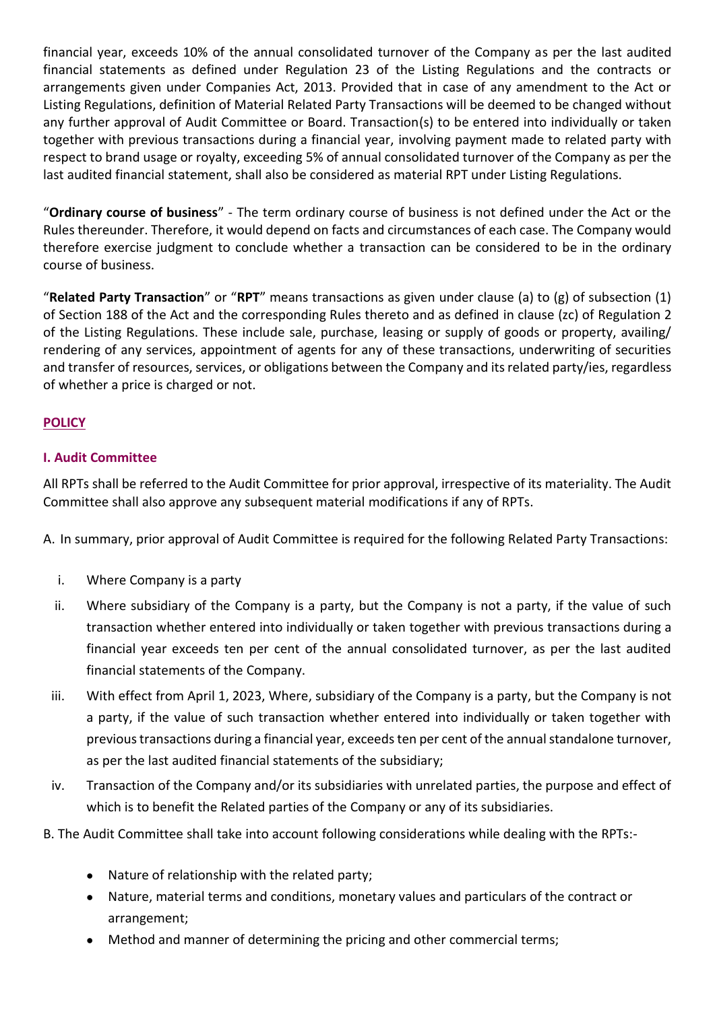financial year, exceeds 10% of the annual consolidated turnover of the Company as per the last audited financial statements as defined under Regulation 23 of the Listing Regulations and the contracts or arrangements given under Companies Act, 2013. Provided that in case of any amendment to the Act or Listing Regulations, definition of Material Related Party Transactions will be deemed to be changed without any further approval of Audit Committee or Board. Transaction(s) to be entered into individually or taken together with previous transactions during a financial year, involving payment made to related party with respect to brand usage or royalty, exceeding 5% of annual consolidated turnover of the Company as per the last audited financial statement, shall also be considered as material RPT under Listing Regulations.

"**Ordinary course of business**" - The term ordinary course of business is not defined under the Act or the Rules thereunder. Therefore, it would depend on facts and circumstances of each case. The Company would therefore exercise judgment to conclude whether a transaction can be considered to be in the ordinary course of business.

"**Related Party Transaction**" or "**RPT**" means transactions as given under clause (a) to (g) of subsection (1) of Section 188 of the Act and the corresponding Rules thereto and as defined in clause (zc) of Regulation 2 of the Listing Regulations. These include sale, purchase, leasing or supply of goods or property, availing/ rendering of any services, appointment of agents for any of these transactions, underwriting of securities and transfer of resources, services, or obligations between the Company and its related party/ies, regardless of whether a price is charged or not.

# **POLICY**

## **I. Audit Committee**

All RPTs shall be referred to the Audit Committee for prior approval, irrespective of its materiality. The Audit Committee shall also approve any subsequent material modifications if any of RPTs.

A. In summary, prior approval of Audit Committee is required for the following Related Party Transactions:

- i. Where Company is a party
- ii. Where subsidiary of the Company is a party, but the Company is not a party, if the value of such transaction whether entered into individually or taken together with previous transactions during a financial year exceeds ten per cent of the annual consolidated turnover, as per the last audited financial statements of the Company.
- iii. With effect from April 1, 2023, Where, subsidiary of the Company is a party, but the Company is not a party, if the value of such transaction whether entered into individually or taken together with previous transactions during a financial year, exceeds ten per cent of the annual standalone turnover, as per the last audited financial statements of the subsidiary;
- iv. Transaction of the Company and/or its subsidiaries with unrelated parties, the purpose and effect of which is to benefit the Related parties of the Company or any of its subsidiaries.
- B. The Audit Committee shall take into account following considerations while dealing with the RPTs:-
	- Nature of relationship with the related party;
	- Nature, material terms and conditions, monetary values and particulars of the contract or arrangement;
	- Method and manner of determining the pricing and other commercial terms;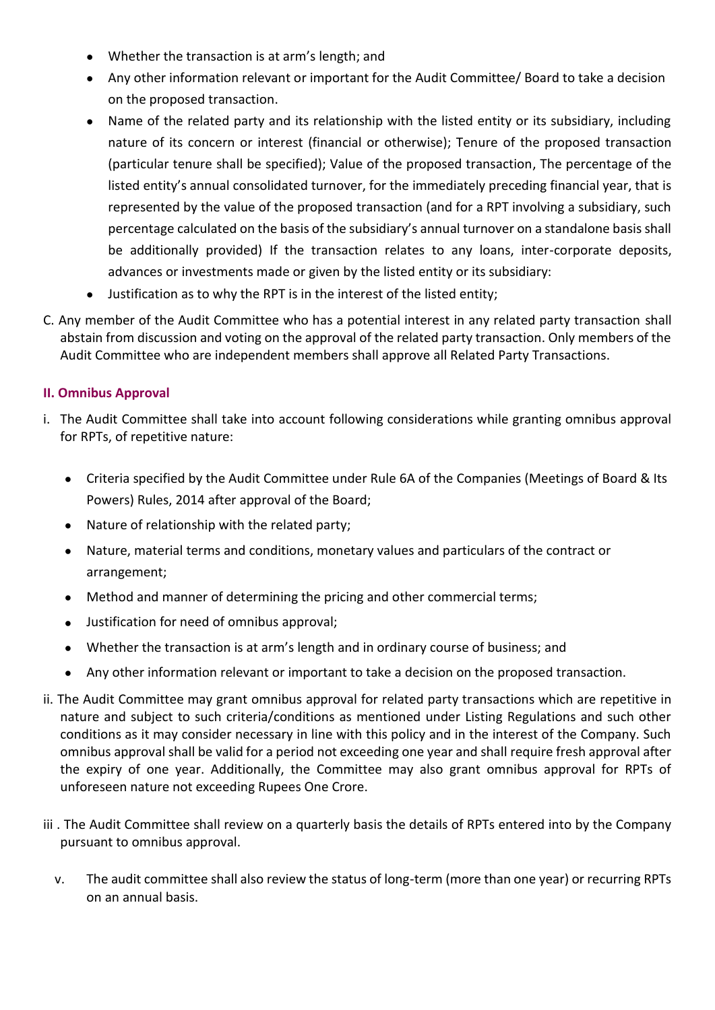- Whether the transaction is at arm's length; and
- Any other information relevant or important for the Audit Committee/ Board to take a decision on the proposed transaction.
- Name of the related party and its relationship with the listed entity or its subsidiary, including nature of its concern or interest (financial or otherwise); Tenure of the proposed transaction (particular tenure shall be specified); Value of the proposed transaction, The percentage of the listed entity's annual consolidated turnover, for the immediately preceding financial year, that is represented by the value of the proposed transaction (and for a RPT involving a subsidiary, such percentage calculated on the basis of the subsidiary's annual turnover on a standalone basis shall be additionally provided) If the transaction relates to any loans, inter-corporate deposits, advances or investments made or given by the listed entity or its subsidiary:
- Justification as to why the RPT is in the interest of the listed entity;
- C. Any member of the Audit Committee who has a potential interest in any related party transaction shall abstain from discussion and voting on the approval of the related party transaction. Only members of the Audit Committee who are independent members shall approve all Related Party Transactions.

# **II. Omnibus Approval**

- i. The Audit Committee shall take into account following considerations while granting omnibus approval for RPTs, of repetitive nature:
	- Criteria specified by the Audit Committee under Rule 6A of the Companies (Meetings of Board & Its Powers) Rules, 2014 after approval of the Board;
	- Nature of relationship with the related party;
	- Nature, material terms and conditions, monetary values and particulars of the contract or arrangement;
	- Method and manner of determining the pricing and other commercial terms;
	- Justification for need of omnibus approval;
	- Whether the transaction is at arm's length and in ordinary course of business; and
	- Any other information relevant or important to take a decision on the proposed transaction.
- ii. The Audit Committee may grant omnibus approval for related party transactions which are repetitive in nature and subject to such criteria/conditions as mentioned under Listing Regulations and such other conditions as it may consider necessary in line with this policy and in the interest of the Company. Such omnibus approval shall be valid for a period not exceeding one year and shall require fresh approval after the expiry of one year. Additionally, the Committee may also grant omnibus approval for RPTs of unforeseen nature not exceeding Rupees One Crore.
- iii. The Audit Committee shall review on a quarterly basis the details of RPTs entered into by the Company pursuant to omnibus approval.
	- v. The audit committee shall also review the status of long-term (more than one year) or recurring RPTs on an annual basis.